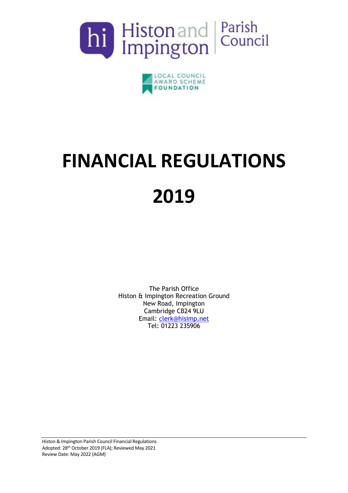



# **FINANCIAL REGULATIONS 2019**

The Parish Office Histon & Impington Recreation Ground New Road, Impington Cambridge CB24 9LU Email: [clerk@hisimp.net](mailto:clerk@hisimp.net) Tel: 01223 235906

Histon & Impington Parish Council Financial Regulations Adopted: 28th October 2019 (FLA); Reviewed May 2021 Review Date: May 2022 (AGM)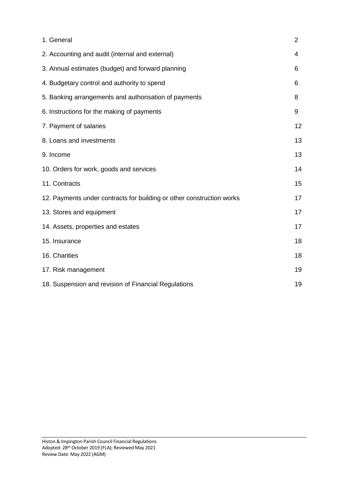| 1. General                                                            | $\overline{2}$ |
|-----------------------------------------------------------------------|----------------|
| 2. Accounting and audit (internal and external)                       | 4              |
| 3. Annual estimates (budget) and forward planning                     | 6              |
| 4. Budgetary control and authority to spend                           | 6              |
| 5. Banking arrangements and authorisation of payments                 | 8              |
| 6. Instructions for the making of payments                            | 9              |
| 7. Payment of salaries                                                | 12             |
| 8. Loans and investments                                              | 13             |
| 9. Income                                                             | 13             |
| 10. Orders for work, goods and services                               | 14             |
| 11. Contracts                                                         | 15             |
| 12. Payments under contracts for building or other construction works | 17             |
| 13. Stores and equipment                                              | 17             |
| 14. Assets, properties and estates                                    | 17             |
| 15. Insurance                                                         | 18             |
| 16. Charities                                                         | 18             |
| 17. Risk management                                                   | 19             |
| 18. Suspension and revision of Financial Regulations                  | 19             |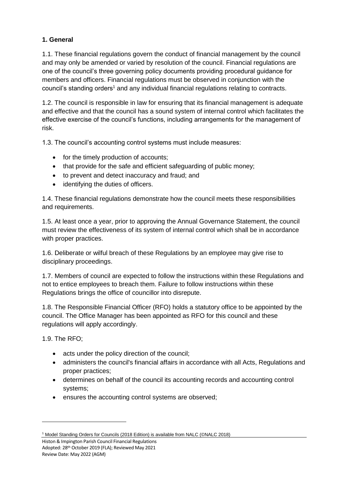#### **1. General**

1.1. These financial regulations govern the conduct of financial management by the council and may only be amended or varied by resolution of the council. Financial regulations are one of the council's three governing policy documents providing procedural guidance for members and officers. Financial regulations must be observed in conjunction with the council's standing orders<sup>1</sup> and any individual financial regulations relating to contracts.

1.2. The council is responsible in law for ensuring that its financial management is adequate and effective and that the council has a sound system of internal control which facilitates the effective exercise of the council's functions, including arrangements for the management of risk.

1.3. The council's accounting control systems must include measures:

- for the timely production of accounts;
- that provide for the safe and efficient safeguarding of public money;
- to prevent and detect inaccuracy and fraud; and
- identifying the duties of officers.

1.4. These financial regulations demonstrate how the council meets these responsibilities and requirements.

1.5. At least once a year, prior to approving the Annual Governance Statement, the council must review the effectiveness of its system of internal control which shall be in accordance with proper practices.

1.6. Deliberate or wilful breach of these Regulations by an employee may give rise to disciplinary proceedings.

1.7. Members of council are expected to follow the instructions within these Regulations and not to entice employees to breach them. Failure to follow instructions within these Regulations brings the office of councillor into disrepute.

1.8. The Responsible Financial Officer (RFO) holds a statutory office to be appointed by the council. The Office Manager has been appointed as RFO for this council and these regulations will apply accordingly.

1.9. The RFO;

1

- acts under the policy direction of the council;
- administers the council's financial affairs in accordance with all Acts, Regulations and proper practices;
- determines on behalf of the council its accounting records and accounting control systems;
- ensures the accounting control systems are observed;

<sup>&</sup>lt;sup>1</sup> Model Standing Orders for Councils (2018 Edition) is available from NALC (©NALC 2018)

Histon & Impington Parish Council Financial Regulations Adopted: 28th October 2019 (FLA); Reviewed May 2021 Review Date: May 2022 (AGM)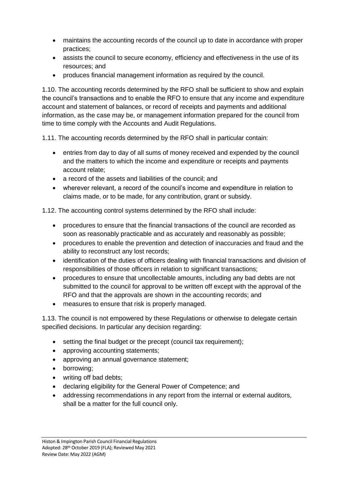- maintains the accounting records of the council up to date in accordance with proper practices;
- assists the council to secure economy, efficiency and effectiveness in the use of its resources; and
- produces financial management information as required by the council.

1.10. The accounting records determined by the RFO shall be sufficient to show and explain the council's transactions and to enable the RFO to ensure that any income and expenditure account and statement of balances, or record of receipts and payments and additional information, as the case may be, or management information prepared for the council from time to time comply with the Accounts and Audit Regulations.

1.11. The accounting records determined by the RFO shall in particular contain:

- entries from day to day of all sums of money received and expended by the council and the matters to which the income and expenditure or receipts and payments account relate;
- a record of the assets and liabilities of the council; and
- wherever relevant, a record of the council's income and expenditure in relation to claims made, or to be made, for any contribution, grant or subsidy.

1.12. The accounting control systems determined by the RFO shall include:

- procedures to ensure that the financial transactions of the council are recorded as soon as reasonably practicable and as accurately and reasonably as possible;
- procedures to enable the prevention and detection of inaccuracies and fraud and the ability to reconstruct any lost records;
- identification of the duties of officers dealing with financial transactions and division of responsibilities of those officers in relation to significant transactions;
- procedures to ensure that uncollectable amounts, including any bad debts are not submitted to the council for approval to be written off except with the approval of the RFO and that the approvals are shown in the accounting records; and
- measures to ensure that risk is properly managed.

1.13. The council is not empowered by these Regulations or otherwise to delegate certain specified decisions. In particular any decision regarding:

- setting the final budget or the precept (council tax requirement);
- approving accounting statements;
- approving an annual governance statement;
- borrowing:
- writing off bad debts;
- declaring eligibility for the General Power of Competence; and
- addressing recommendations in any report from the internal or external auditors, shall be a matter for the full council only.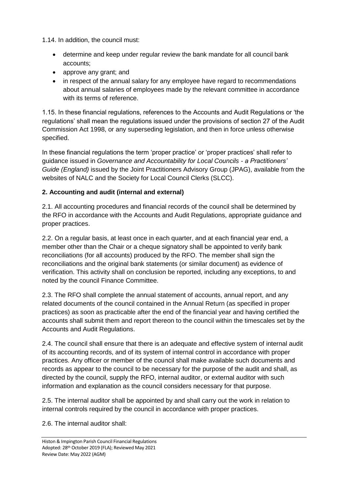1.14. In addition, the council must:

- determine and keep under regular review the bank mandate for all council bank accounts;
- approve any grant; and
- in respect of the annual salary for any employee have regard to recommendations about annual salaries of employees made by the relevant committee in accordance with its terms of reference.

1.15. In these financial regulations, references to the Accounts and Audit Regulations or 'the regulations' shall mean the regulations issued under the provisions of section 27 of the Audit Commission Act 1998, or any superseding legislation, and then in force unless otherwise specified.

In these financial regulations the term 'proper practice' or 'proper practices' shall refer to guidance issued in *Governance and Accountability for Local Councils - a Practitioners' Guide (England)* issued by the Joint Practitioners Advisory Group (JPAG), available from the websites of NALC and the Society for Local Council Clerks (SLCC).

#### **2. Accounting and audit (internal and external)**

2.1. All accounting procedures and financial records of the council shall be determined by the RFO in accordance with the Accounts and Audit Regulations, appropriate guidance and proper practices.

2.2. On a regular basis, at least once in each quarter, and at each financial year end, a member other than the Chair or a cheque signatory shall be appointed to verify bank reconciliations (for all accounts) produced by the RFO. The member shall sign the reconciliations and the original bank statements (or similar document) as evidence of verification. This activity shall on conclusion be reported, including any exceptions, to and noted by the council Finance Committee.

2.3. The RFO shall complete the annual statement of accounts, annual report, and any related documents of the council contained in the Annual Return (as specified in proper practices) as soon as practicable after the end of the financial year and having certified the accounts shall submit them and report thereon to the council within the timescales set by the Accounts and Audit Regulations.

2.4. The council shall ensure that there is an adequate and effective system of internal audit of its accounting records, and of its system of internal control in accordance with proper practices. Any officer or member of the council shall make available such documents and records as appear to the council to be necessary for the purpose of the audit and shall, as directed by the council, supply the RFO, internal auditor, or external auditor with such information and explanation as the council considers necessary for that purpose.

2.5. The internal auditor shall be appointed by and shall carry out the work in relation to internal controls required by the council in accordance with proper practices.

2.6. The internal auditor shall: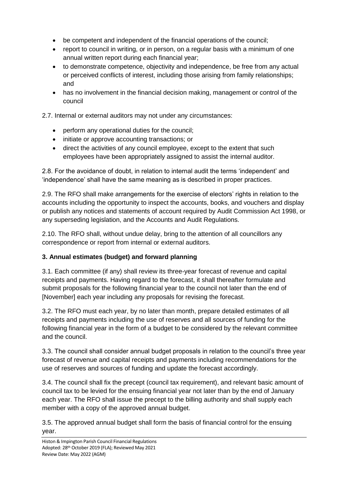- be competent and independent of the financial operations of the council;
- report to council in writing, or in person, on a regular basis with a minimum of one annual written report during each financial year;
- to demonstrate competence, objectivity and independence, be free from any actual or perceived conflicts of interest, including those arising from family relationships; and
- has no involvement in the financial decision making, management or control of the council

2.7. Internal or external auditors may not under any circumstances:

- perform any operational duties for the council;
- initiate or approve accounting transactions; or
- direct the activities of any council employee, except to the extent that such employees have been appropriately assigned to assist the internal auditor.

2.8. For the avoidance of doubt, in relation to internal audit the terms 'independent' and 'independence' shall have the same meaning as is described in proper practices.

2.9. The RFO shall make arrangements for the exercise of electors' rights in relation to the accounts including the opportunity to inspect the accounts, books, and vouchers and display or publish any notices and statements of account required by Audit Commission Act 1998, or any superseding legislation, and the Accounts and Audit Regulations.

2.10. The RFO shall, without undue delay, bring to the attention of all councillors any correspondence or report from internal or external auditors.

# **3. Annual estimates (budget) and forward planning**

3.1. Each committee (if any) shall review its three-year forecast of revenue and capital receipts and payments. Having regard to the forecast, it shall thereafter formulate and submit proposals for the following financial year to the council not later than the end of [November] each year including any proposals for revising the forecast.

3.2. The RFO must each year, by no later than month, prepare detailed estimates of all receipts and payments including the use of reserves and all sources of funding for the following financial year in the form of a budget to be considered by the relevant committee and the council.

3.3. The council shall consider annual budget proposals in relation to the council's three year forecast of revenue and capital receipts and payments including recommendations for the use of reserves and sources of funding and update the forecast accordingly.

3.4. The council shall fix the precept (council tax requirement), and relevant basic amount of council tax to be levied for the ensuing financial year not later than by the end of January each year. The RFO shall issue the precept to the billing authority and shall supply each member with a copy of the approved annual budget.

3.5. The approved annual budget shall form the basis of financial control for the ensuing year.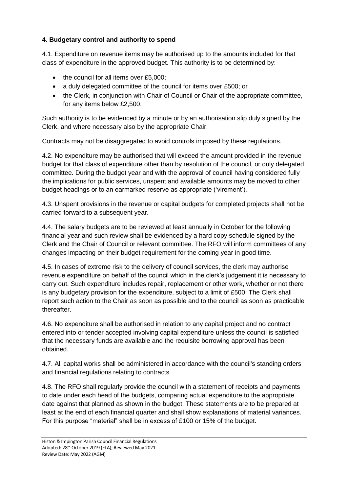## **4. Budgetary control and authority to spend**

4.1. Expenditure on revenue items may be authorised up to the amounts included for that class of expenditure in the approved budget. This authority is to be determined by:

- the council for all items over £5,000;
- a duly delegated committee of the council for items over £500; or
- the Clerk, in conjunction with Chair of Council or Chair of the appropriate committee, for any items below £2,500.

Such authority is to be evidenced by a minute or by an authorisation slip duly signed by the Clerk, and where necessary also by the appropriate Chair.

Contracts may not be disaggregated to avoid controls imposed by these regulations.

4.2. No expenditure may be authorised that will exceed the amount provided in the revenue budget for that class of expenditure other than by resolution of the council, or duly delegated committee. During the budget year and with the approval of council having considered fully the implications for public services, unspent and available amounts may be moved to other budget headings or to an earmarked reserve as appropriate ('virement').

4.3. Unspent provisions in the revenue or capital budgets for completed projects shall not be carried forward to a subsequent year.

4.4. The salary budgets are to be reviewed at least annually in October for the following financial year and such review shall be evidenced by a hard copy schedule signed by the Clerk and the Chair of Council or relevant committee. The RFO will inform committees of any changes impacting on their budget requirement for the coming year in good time.

4.5. In cases of extreme risk to the delivery of council services, the clerk may authorise revenue expenditure on behalf of the council which in the clerk's judgement it is necessary to carry out. Such expenditure includes repair, replacement or other work, whether or not there is any budgetary provision for the expenditure, subject to a limit of £500. The Clerk shall report such action to the Chair as soon as possible and to the council as soon as practicable thereafter.

4.6. No expenditure shall be authorised in relation to any capital project and no contract entered into or tender accepted involving capital expenditure unless the council is satisfied that the necessary funds are available and the requisite borrowing approval has been obtained.

4.7. All capital works shall be administered in accordance with the council's standing orders and financial regulations relating to contracts.

4.8. The RFO shall regularly provide the council with a statement of receipts and payments to date under each head of the budgets, comparing actual expenditure to the appropriate date against that planned as shown in the budget. These statements are to be prepared at least at the end of each financial quarter and shall show explanations of material variances. For this purpose "material" shall be in excess of £100 or 15% of the budget.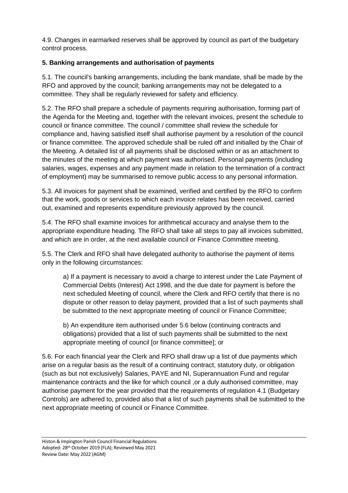4.9. Changes in earmarked reserves shall be approved by council as part of the budgetary control process.

## **5. Banking arrangements and authorisation of payments**

5.1. The council's banking arrangements, including the bank mandate, shall be made by the RFO and approved by the council; banking arrangements may not be delegated to a committee. They shall be regularly reviewed for safety and efficiency.

5.2. The RFO shall prepare a schedule of payments requiring authorisation, forming part of the Agenda for the Meeting and, together with the relevant invoices, present the schedule to council or finance committee. The council / committee shall review the schedule for compliance and, having satisfied itself shall authorise payment by a resolution of the council or finance committee. The approved schedule shall be ruled off and initialled by the Chair of the Meeting. A detailed list of all payments shall be disclosed within or as an attachment to the minutes of the meeting at which payment was authorised. Personal payments (including salaries, wages, expenses and any payment made in relation to the termination of a contract of employment) may be summarised to remove public access to any personal information.

5.3. All invoices for payment shall be examined, verified and certified by the RFO to confirm that the work, goods or services to which each invoice relates has been received, carried out, examined and represents expenditure previously approved by the council.

5.4. The RFO shall examine invoices for arithmetical accuracy and analyse them to the appropriate expenditure heading. The RFO shall take all steps to pay all invoices submitted, and which are in order, at the next available council or Finance Committee meeting.

5.5. The Clerk and RFO shall have delegated authority to authorise the payment of items only in the following circumstances:

a) If a payment is necessary to avoid a charge to interest under the Late Payment of Commercial Debts (Interest) Act 1998, and the due date for payment is before the next scheduled Meeting of council, where the Clerk and RFO certify that there is no dispute or other reason to delay payment, provided that a list of such payments shall be submitted to the next appropriate meeting of council or Finance Committee;

b) An expenditure item authorised under 5.6 below (continuing contracts and obligations) provided that a list of such payments shall be submitted to the next appropriate meeting of council [or finance committee]; or

5.6. For each financial year the Clerk and RFO shall draw up a list of due payments which arise on a regular basis as the result of a continuing contract, statutory duty, or obligation (such as but not exclusively) Salaries, PAYE and NI, Superannuation Fund and regular maintenance contracts and the like for which council ,or a duly authorised committee, may authorise payment for the year provided that the requirements of regulation 4.1 (Budgetary Controls) are adhered to, provided also that a list of such payments shall be submitted to the next appropriate meeting of council or Finance Committee.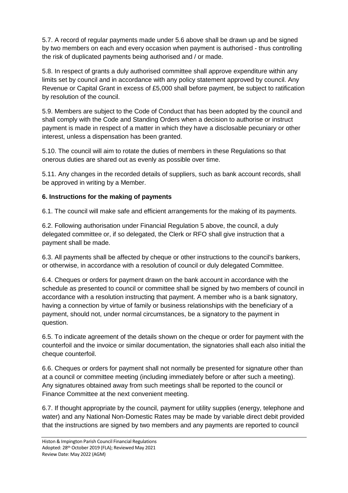5.7. A record of regular payments made under 5.6 above shall be drawn up and be signed by two members on each and every occasion when payment is authorised - thus controlling the risk of duplicated payments being authorised and / or made.

5.8. In respect of grants a duly authorised committee shall approve expenditure within any limits set by council and in accordance with any policy statement approved by council. Any Revenue or Capital Grant in excess of £5,000 shall before payment, be subject to ratification by resolution of the council.

5.9. Members are subject to the Code of Conduct that has been adopted by the council and shall comply with the Code and Standing Orders when a decision to authorise or instruct payment is made in respect of a matter in which they have a disclosable pecuniary or other interest, unless a dispensation has been granted.

5.10. The council will aim to rotate the duties of members in these Regulations so that onerous duties are shared out as evenly as possible over time.

5.11. Any changes in the recorded details of suppliers, such as bank account records, shall be approved in writing by a Member.

#### **6. Instructions for the making of payments**

6.1. The council will make safe and efficient arrangements for the making of its payments.

6.2. Following authorisation under Financial Regulation 5 above, the council, a duly delegated committee or, if so delegated, the Clerk or RFO shall give instruction that a payment shall be made.

6.3. All payments shall be affected by cheque or other instructions to the council's bankers, or otherwise, in accordance with a resolution of council or duly delegated Committee.

6.4. Cheques or orders for payment drawn on the bank account in accordance with the schedule as presented to council or committee shall be signed by two members of council in accordance with a resolution instructing that payment. A member who is a bank signatory, having a connection by virtue of family or business relationships with the beneficiary of a payment, should not, under normal circumstances, be a signatory to the payment in question.

6.5. To indicate agreement of the details shown on the cheque or order for payment with the counterfoil and the invoice or similar documentation, the signatories shall each also initial the cheque counterfoil.

6.6. Cheques or orders for payment shall not normally be presented for signature other than at a council or committee meeting (including immediately before or after such a meeting). Any signatures obtained away from such meetings shall be reported to the council or Finance Committee at the next convenient meeting.

6.7. If thought appropriate by the council, payment for utility supplies (energy, telephone and water) and any National Non-Domestic Rates may be made by variable direct debit provided that the instructions are signed by two members and any payments are reported to council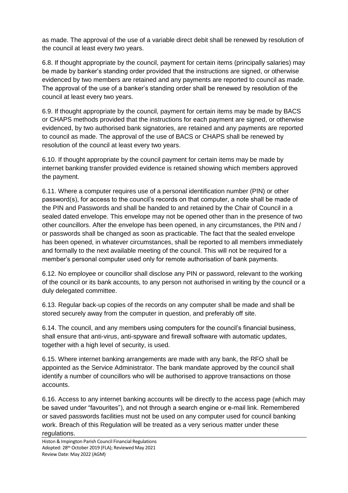as made. The approval of the use of a variable direct debit shall be renewed by resolution of the council at least every two years.

6.8. If thought appropriate by the council, payment for certain items (principally salaries) may be made by banker's standing order provided that the instructions are signed, or otherwise evidenced by two members are retained and any payments are reported to council as made. The approval of the use of a banker's standing order shall be renewed by resolution of the council at least every two years.

6.9. If thought appropriate by the council, payment for certain items may be made by BACS or CHAPS methods provided that the instructions for each payment are signed, or otherwise evidenced, by two authorised bank signatories, are retained and any payments are reported to council as made. The approval of the use of BACS or CHAPS shall be renewed by resolution of the council at least every two years.

6.10. If thought appropriate by the council payment for certain items may be made by internet banking transfer provided evidence is retained showing which members approved the payment.

6.11. Where a computer requires use of a personal identification number (PIN) or other password(s), for access to the council's records on that computer, a note shall be made of the PIN and Passwords and shall be handed to and retained by the Chair of Council in a sealed dated envelope. This envelope may not be opened other than in the presence of two other councillors. After the envelope has been opened, in any circumstances, the PIN and / or passwords shall be changed as soon as practicable. The fact that the sealed envelope has been opened, in whatever circumstances, shall be reported to all members immediately and formally to the next available meeting of the council. This will not be required for a member's personal computer used only for remote authorisation of bank payments.

6.12. No employee or councillor shall disclose any PIN or password, relevant to the working of the council or its bank accounts, to any person not authorised in writing by the council or a duly delegated committee.

6.13. Regular back-up copies of the records on any computer shall be made and shall be stored securely away from the computer in question, and preferably off site.

6.14. The council, and any members using computers for the council's financial business, shall ensure that anti-virus, anti-spyware and firewall software with automatic updates, together with a high level of security, is used.

6.15. Where internet banking arrangements are made with any bank, the RFO shall be appointed as the Service Administrator. The bank mandate approved by the council shall identify a number of councillors who will be authorised to approve transactions on those accounts.

6.16. Access to any internet banking accounts will be directly to the access page (which may be saved under "favourites"), and not through a search engine or e-mail link. Remembered or saved passwords facilities must not be used on any computer used for council banking work. Breach of this Regulation will be treated as a very serious matter under these regulations.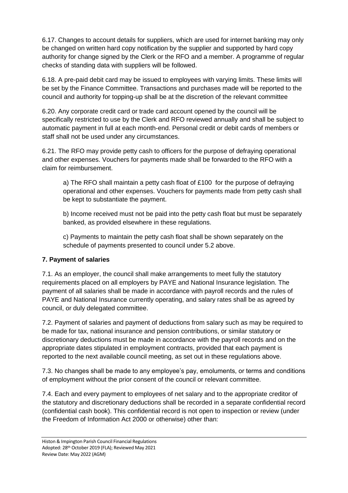6.17. Changes to account details for suppliers, which are used for internet banking may only be changed on written hard copy notification by the supplier and supported by hard copy authority for change signed by the Clerk or the RFO and a member. A programme of regular checks of standing data with suppliers will be followed.

6.18. A pre-paid debit card may be issued to employees with varying limits. These limits will be set by the Finance Committee. Transactions and purchases made will be reported to the council and authority for topping-up shall be at the discretion of the relevant committee

6.20. Any corporate credit card or trade card account opened by the council will be specifically restricted to use by the Clerk and RFO reviewed annually and shall be subject to automatic payment in full at each month-end. Personal credit or debit cards of members or staff shall not be used under any circumstances.

6.21. The RFO may provide petty cash to officers for the purpose of defraying operational and other expenses. Vouchers for payments made shall be forwarded to the RFO with a claim for reimbursement.

a) The RFO shall maintain a petty cash float of £100 for the purpose of defraying operational and other expenses. Vouchers for payments made from petty cash shall be kept to substantiate the payment.

b) Income received must not be paid into the petty cash float but must be separately banked, as provided elsewhere in these regulations.

c) Payments to maintain the petty cash float shall be shown separately on the schedule of payments presented to council under 5.2 above.

#### **7. Payment of salaries**

7.1. As an employer, the council shall make arrangements to meet fully the statutory requirements placed on all employers by PAYE and National Insurance legislation. The payment of all salaries shall be made in accordance with payroll records and the rules of PAYE and National Insurance currently operating, and salary rates shall be as agreed by council, or duly delegated committee.

7.2. Payment of salaries and payment of deductions from salary such as may be required to be made for tax, national insurance and pension contributions, or similar statutory or discretionary deductions must be made in accordance with the payroll records and on the appropriate dates stipulated in employment contracts, provided that each payment is reported to the next available council meeting, as set out in these regulations above.

7.3. No changes shall be made to any employee's pay, emoluments, or terms and conditions of employment without the prior consent of the council or relevant committee.

7.4. Each and every payment to employees of net salary and to the appropriate creditor of the statutory and discretionary deductions shall be recorded in a separate confidential record (confidential cash book). This confidential record is not open to inspection or review (under the Freedom of Information Act 2000 or otherwise) other than: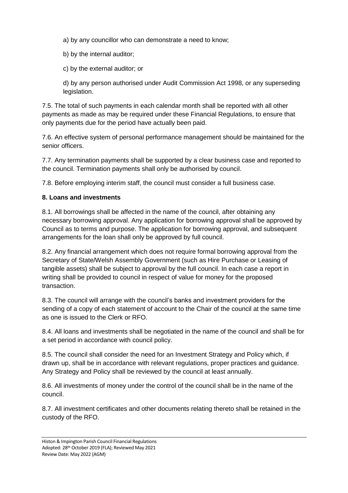a) by any councillor who can demonstrate a need to know;

b) by the internal auditor;

c) by the external auditor; or

d) by any person authorised under Audit Commission Act 1998, or any superseding legislation.

7.5. The total of such payments in each calendar month shall be reported with all other payments as made as may be required under these Financial Regulations, to ensure that only payments due for the period have actually been paid.

7.6. An effective system of personal performance management should be maintained for the senior officers.

7.7. Any termination payments shall be supported by a clear business case and reported to the council. Termination payments shall only be authorised by council.

7.8. Before employing interim staff, the council must consider a full business case.

#### **8. Loans and investments**

8.1. All borrowings shall be affected in the name of the council, after obtaining any necessary borrowing approval. Any application for borrowing approval shall be approved by Council as to terms and purpose. The application for borrowing approval, and subsequent arrangements for the loan shall only be approved by full council.

8.2. Any financial arrangement which does not require formal borrowing approval from the Secretary of State/Welsh Assembly Government (such as Hire Purchase or Leasing of tangible assets) shall be subject to approval by the full council. In each case a report in writing shall be provided to council in respect of value for money for the proposed transaction.

8.3. The council will arrange with the council's banks and investment providers for the sending of a copy of each statement of account to the Chair of the council at the same time as one is issued to the Clerk or RFO.

8.4. All loans and investments shall be negotiated in the name of the council and shall be for a set period in accordance with council policy.

8.5. The council shall consider the need for an Investment Strategy and Policy which, if drawn up, shall be in accordance with relevant regulations, proper practices and guidance. Any Strategy and Policy shall be reviewed by the council at least annually.

8.6. All investments of money under the control of the council shall be in the name of the council.

8.7. All investment certificates and other documents relating thereto shall be retained in the custody of the RFO.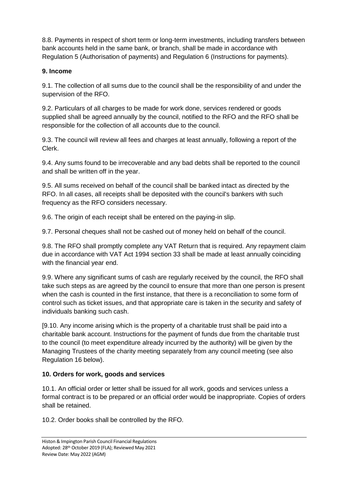8.8. Payments in respect of short term or long-term investments, including transfers between bank accounts held in the same bank, or branch, shall be made in accordance with Regulation 5 (Authorisation of payments) and Regulation 6 (Instructions for payments).

#### **9. Income**

9.1. The collection of all sums due to the council shall be the responsibility of and under the supervision of the RFO.

9.2. Particulars of all charges to be made for work done, services rendered or goods supplied shall be agreed annually by the council, notified to the RFO and the RFO shall be responsible for the collection of all accounts due to the council.

9.3. The council will review all fees and charges at least annually, following a report of the Clerk.

9.4. Any sums found to be irrecoverable and any bad debts shall be reported to the council and shall be written off in the year.

9.5. All sums received on behalf of the council shall be banked intact as directed by the RFO. In all cases, all receipts shall be deposited with the council's bankers with such frequency as the RFO considers necessary.

9.6. The origin of each receipt shall be entered on the paying-in slip.

9.7. Personal cheques shall not be cashed out of money held on behalf of the council.

9.8. The RFO shall promptly complete any VAT Return that is required. Any repayment claim due in accordance with VAT Act 1994 section 33 shall be made at least annually coinciding with the financial year end.

9.9. Where any significant sums of cash are regularly received by the council, the RFO shall take such steps as are agreed by the council to ensure that more than one person is present when the cash is counted in the first instance, that there is a reconciliation to some form of control such as ticket issues, and that appropriate care is taken in the security and safety of individuals banking such cash.

[9.10. Any income arising which is the property of a charitable trust shall be paid into a charitable bank account. Instructions for the payment of funds due from the charitable trust to the council (to meet expenditure already incurred by the authority) will be given by the Managing Trustees of the charity meeting separately from any council meeting (see also Regulation 16 below).

#### **10. Orders for work, goods and services**

10.1. An official order or letter shall be issued for all work, goods and services unless a formal contract is to be prepared or an official order would be inappropriate. Copies of orders shall be retained.

10.2. Order books shall be controlled by the RFO.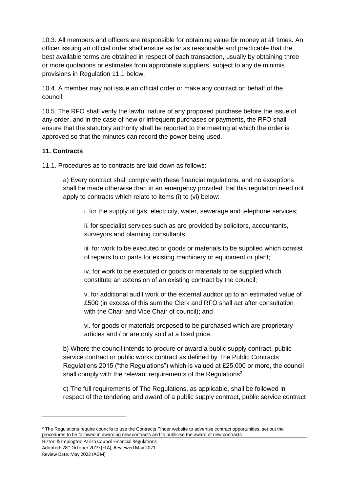10.3. All members and officers are responsible for obtaining value for money at all times. An officer issuing an official order shall ensure as far as reasonable and practicable that the best available terms are obtained in respect of each transaction, usually by obtaining three or more quotations or estimates from appropriate suppliers, subject to any de minimis provisions in Regulation 11.1 below.

10.4. A member may not issue an official order or make any contract on behalf of the council.

10.5. The RFO shall verify the lawful nature of any proposed purchase before the issue of any order, and in the case of new or infrequent purchases or payments, the RFO shall ensure that the statutory authority shall be reported to the meeting at which the order is approved so that the minutes can record the power being used.

#### **11. Contracts**

11.1. Procedures as to contracts are laid down as follows:

a) Every contract shall comply with these financial regulations, and no exceptions shall be made otherwise than in an emergency provided that this regulation need not apply to contracts which relate to items (i) to (vi) below:

i. for the supply of gas, electricity, water, sewerage and telephone services;

ii. for specialist services such as are provided by solicitors, accountants, surveyors and planning consultants

iii. for work to be executed or goods or materials to be supplied which consist of repairs to or parts for existing machinery or equipment or plant;

iv. for work to be executed or goods or materials to be supplied which constitute an extension of an existing contract by the council;

v. for additional audit work of the external auditor up to an estimated value of £500 (in excess of this sum the Clerk and RFO shall act after consultation with the Chair and Vice Chair of council); and

vi. for goods or materials proposed to be purchased which are proprietary articles and / or are only sold at a fixed price.

b) Where the council intends to procure or award a public supply contract, public service contract or public works contract as defined by The Public Contracts Regulations 2015 ("the Regulations") which is valued at £25,000 or more, the council shall comply with the relevant requirements of the Regulations<sup>2</sup>.

c) The full requirements of The Regulations, as applicable, shall be followed in respect of the tendering and award of a public supply contract, public service contract

Histon & Impington Parish Council Financial Regulations Adopted: 28th October 2019 (FLA); Reviewed May 2021 Review Date: May 2022 (AGM)

**.** 

<sup>&</sup>lt;sup>2</sup> The Regulations require councils to use the Contracts Finder website to advertise contract opportunities, set out the procedures to be followed in awarding new contracts and to publicise the award of new contracts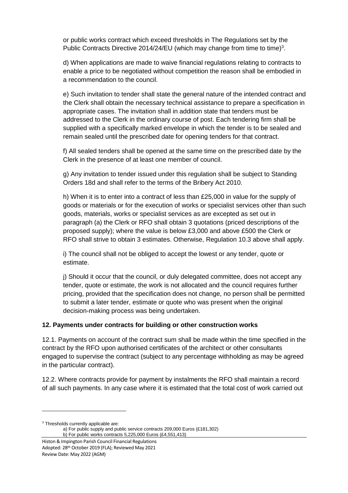or public works contract which exceed thresholds in The Regulations set by the Public Contracts Directive 2014/24/EU (which may change from time to time)<sup>3</sup>.

d) When applications are made to waive financial regulations relating to contracts to enable a price to be negotiated without competition the reason shall be embodied in a recommendation to the council.

e) Such invitation to tender shall state the general nature of the intended contract and the Clerk shall obtain the necessary technical assistance to prepare a specification in appropriate cases. The invitation shall in addition state that tenders must be addressed to the Clerk in the ordinary course of post. Each tendering firm shall be supplied with a specifically marked envelope in which the tender is to be sealed and remain sealed until the prescribed date for opening tenders for that contract.

f) All sealed tenders shall be opened at the same time on the prescribed date by the Clerk in the presence of at least one member of council.

g) Any invitation to tender issued under this regulation shall be subject to Standing Orders 18d and shall refer to the terms of the Bribery Act 2010.

h) When it is to enter into a contract of less than £25,000 in value for the supply of goods or materials or for the execution of works or specialist services other than such goods, materials, works or specialist services as are excepted as set out in paragraph (a) the Clerk or RFO shall obtain 3 quotations (priced descriptions of the proposed supply); where the value is below £3,000 and above £500 the Clerk or RFO shall strive to obtain 3 estimates. Otherwise, Regulation 10.3 above shall apply.

i) The council shall not be obliged to accept the lowest or any tender, quote or estimate.

j) Should it occur that the council, or duly delegated committee, does not accept any tender, quote or estimate, the work is not allocated and the council requires further pricing, provided that the specification does not change, no person shall be permitted to submit a later tender, estimate or quote who was present when the original decision-making process was being undertaken.

#### **12. Payments under contracts for building or other construction works**

12.1. Payments on account of the contract sum shall be made within the time specified in the contract by the RFO upon authorised certificates of the architect or other consultants engaged to supervise the contract (subject to any percentage withholding as may be agreed in the particular contract).

12.2. Where contracts provide for payment by instalments the RFO shall maintain a record of all such payments. In any case where it is estimated that the total cost of work carried out

**.** 

<sup>3</sup> Thresholds currently applicable are:

a) For public supply and public service contracts 209,000 Euros (£181,302) b) For public works contracts 5,225,000 Euros (£4,551,413)

Histon & Impington Parish Council Financial Regulations Adopted: 28th October 2019 (FLA); Reviewed May 2021 Review Date: May 2022 (AGM)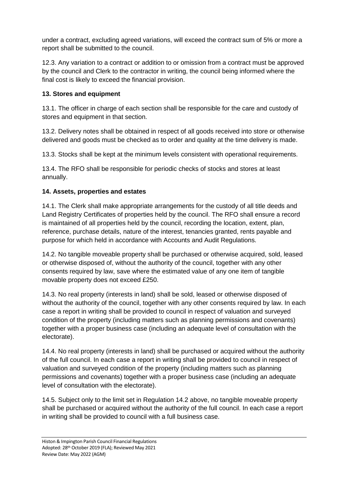under a contract, excluding agreed variations, will exceed the contract sum of 5% or more a report shall be submitted to the council.

12.3. Any variation to a contract or addition to or omission from a contract must be approved by the council and Clerk to the contractor in writing, the council being informed where the final cost is likely to exceed the financial provision.

## **13. Stores and equipment**

13.1. The officer in charge of each section shall be responsible for the care and custody of stores and equipment in that section.

13.2. Delivery notes shall be obtained in respect of all goods received into store or otherwise delivered and goods must be checked as to order and quality at the time delivery is made.

13.3. Stocks shall be kept at the minimum levels consistent with operational requirements.

13.4. The RFO shall be responsible for periodic checks of stocks and stores at least annually.

#### **14. Assets, properties and estates**

14.1. The Clerk shall make appropriate arrangements for the custody of all title deeds and Land Registry Certificates of properties held by the council. The RFO shall ensure a record is maintained of all properties held by the council, recording the location, extent, plan, reference, purchase details, nature of the interest, tenancies granted, rents payable and purpose for which held in accordance with Accounts and Audit Regulations.

14.2. No tangible moveable property shall be purchased or otherwise acquired, sold, leased or otherwise disposed of, without the authority of the council, together with any other consents required by law, save where the estimated value of any one item of tangible movable property does not exceed £250.

14.3. No real property (interests in land) shall be sold, leased or otherwise disposed of without the authority of the council, together with any other consents required by law. In each case a report in writing shall be provided to council in respect of valuation and surveyed condition of the property (including matters such as planning permissions and covenants) together with a proper business case (including an adequate level of consultation with the electorate).

14.4. No real property (interests in land) shall be purchased or acquired without the authority of the full council. In each case a report in writing shall be provided to council in respect of valuation and surveyed condition of the property (including matters such as planning permissions and covenants) together with a proper business case (including an adequate level of consultation with the electorate).

14.5. Subject only to the limit set in Regulation 14.2 above, no tangible moveable property shall be purchased or acquired without the authority of the full council. In each case a report in writing shall be provided to council with a full business case.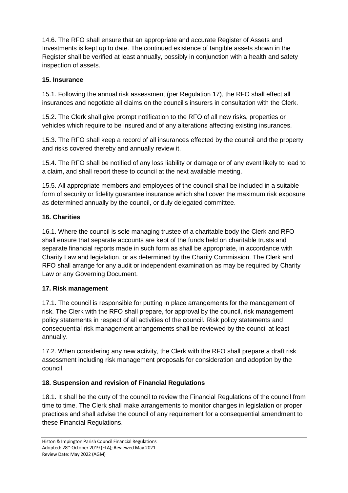14.6. The RFO shall ensure that an appropriate and accurate Register of Assets and Investments is kept up to date. The continued existence of tangible assets shown in the Register shall be verified at least annually, possibly in conjunction with a health and safety inspection of assets.

## **15. Insurance**

15.1. Following the annual risk assessment (per Regulation 17), the RFO shall effect all insurances and negotiate all claims on the council's insurers in consultation with the Clerk.

15.2. The Clerk shall give prompt notification to the RFO of all new risks, properties or vehicles which require to be insured and of any alterations affecting existing insurances.

15.3. The RFO shall keep a record of all insurances effected by the council and the property and risks covered thereby and annually review it.

15.4. The RFO shall be notified of any loss liability or damage or of any event likely to lead to a claim, and shall report these to council at the next available meeting.

15.5. All appropriate members and employees of the council shall be included in a suitable form of security or fidelity guarantee insurance which shall cover the maximum risk exposure as determined annually by the council, or duly delegated committee.

## **16. Charities**

16.1. Where the council is sole managing trustee of a charitable body the Clerk and RFO shall ensure that separate accounts are kept of the funds held on charitable trusts and separate financial reports made in such form as shall be appropriate, in accordance with Charity Law and legislation, or as determined by the Charity Commission. The Clerk and RFO shall arrange for any audit or independent examination as may be required by Charity Law or any Governing Document.

#### **17. Risk management**

17.1. The council is responsible for putting in place arrangements for the management of risk. The Clerk with the RFO shall prepare, for approval by the council, risk management policy statements in respect of all activities of the council. Risk policy statements and consequential risk management arrangements shall be reviewed by the council at least annually.

17.2. When considering any new activity, the Clerk with the RFO shall prepare a draft risk assessment including risk management proposals for consideration and adoption by the council.

# **18. Suspension and revision of Financial Regulations**

18.1. It shall be the duty of the council to review the Financial Regulations of the council from time to time. The Clerk shall make arrangements to monitor changes in legislation or proper practices and shall advise the council of any requirement for a consequential amendment to these Financial Regulations.